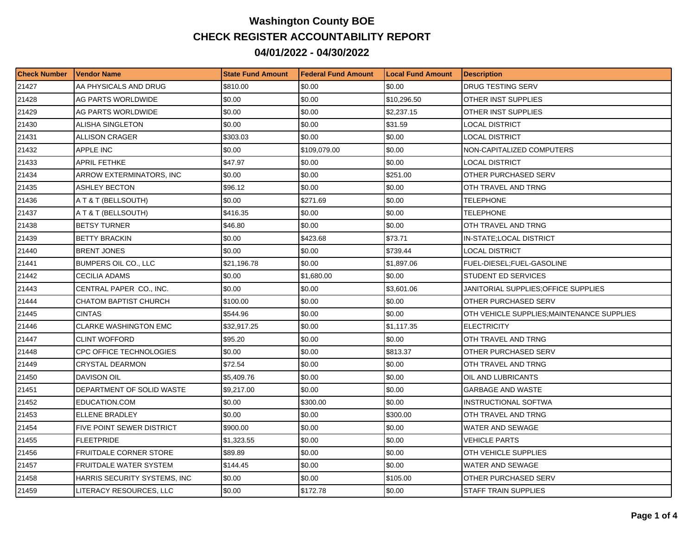## **Washington County BOE CHECK REGISTER ACCOUNTABILITY REPORT 04/01/2022 - 04/30/2022**

| <b>Check Number</b> | l Vendor Name                    | <b>State Fund Amount</b> | l Federal Fund Amount | <b>Local Fund Amount</b> | <b>Description</b>                         |
|---------------------|----------------------------------|--------------------------|-----------------------|--------------------------|--------------------------------------------|
| 21427               | AA PHYSICALS AND DRUG            | \$810.00                 | \$0.00                | \$0.00                   | DRUG TESTING SERV                          |
| 21428               | AG PARTS WORLDWIDE               | \$0.00                   | \$0.00                | \$10,296.50              | OTHER INST SUPPLIES                        |
| 21429               | AG PARTS WORLDWIDE               | \$0.00                   | \$0.00                | \$2,237.15               | OTHER INST SUPPLIES                        |
| 21430               | ALISHA SINGLETON                 | \$0.00                   | \$0.00                | \$31.59                  | LOCAL DISTRICT                             |
| 21431               | <b>ALLISON CRAGER</b>            | \$303.03                 | \$0.00                | \$0.00                   | LOCAL DISTRICT                             |
| 21432               | APPLE INC                        | \$0.00                   | \$109.079.00          | \$0.00                   | NON-CAPITALIZED COMPUTERS                  |
| 21433               | <b>APRIL FETHKE</b>              | \$47.97                  | \$0.00                | \$0.00                   | <b>LOCAL DISTRICT</b>                      |
| 21434               | ARROW EXTERMINATORS, INC         | \$0.00                   | \$0.00                | \$251.00                 | OTHER PURCHASED SERV                       |
| 21435               | IASHLEY BECTON                   | \$96.12                  | \$0.00                | \$0.00                   | OTH TRAVEL AND TRNG                        |
| 21436               | A T & T (BELLSOUTH)              | \$0.00                   | \$271.69              | \$0.00                   | TELEPHONE                                  |
| 21437               | A T & T (BELLSOUTH)              | \$416.35                 | \$0.00                | \$0.00                   | TELEPHONE                                  |
| 21438               | <b>BETSY TURNER</b>              | \$46.80                  | \$0.00                | \$0.00                   | OTH TRAVEL AND TRNG                        |
| 21439               | <b>BETTY BRACKIN</b>             | \$0.00                   | \$423.68              | \$73.71                  | IN-STATE;LOCAL DISTRICT                    |
| 21440               | <b>BRENT JONES</b>               | \$0.00                   | \$0.00                | \$739.44                 | LOCAL DISTRICT                             |
| 21441               | <b>BUMPERS OIL CO., LLC</b>      | \$21,196.78              | \$0.00                | \$1,897.06               | <b>FUEL-DIESEL:FUEL-GASOLINE</b>           |
| 21442               | CECILIA ADAMS                    | \$0.00                   | \$1,680.00            | \$0.00                   | STUDENT ED SERVICES                        |
| 21443               | CENTRAL PAPER CO., INC.          | \$0.00                   | \$0.00                | \$3,601.06               | JANITORIAL SUPPLIES:OFFICE SUPPLIES        |
| 21444               | <b>CHATOM BAPTIST CHURCH</b>     | \$100.00                 | \$0.00                | \$0.00                   | OTHER PURCHASED SERV                       |
| 21445               | <b>CINTAS</b>                    | \$544.96                 | \$0.00                | \$0.00                   | OTH VEHICLE SUPPLIES; MAINTENANCE SUPPLIES |
| 21446               | <b>CLARKE WASHINGTON EMC</b>     | \$32,917.25              | \$0.00                | \$1,117.35               | <b>ELECTRICITY</b>                         |
| 21447               | <b>CLINT WOFFORD</b>             | \$95.20                  | \$0.00                | \$0.00                   | OTH TRAVEL AND TRNG                        |
| 21448               | CPC OFFICE TECHNOLOGIES          | \$0.00                   | \$0.00                | \$813.37                 | OTHER PURCHASED SERV                       |
| 21449               | <b>CRYSTAL DEARMON</b>           | \$72.54                  | \$0.00                | \$0.00                   | OTH TRAVEL AND TRNG                        |
| 21450               | DAVISON OIL                      | \$5,409.76               | \$0.00                | \$0.00                   | OIL AND LUBRICANTS                         |
| 21451               | <b>DEPARTMENT OF SOLID WASTE</b> | \$9,217.00               | \$0.00                | \$0.00                   | <b>GARBAGE AND WASTE</b>                   |
| 21452               | EDUCATION.COM                    | \$0.00                   | \$300.00              | \$0.00                   | <b>INSTRUCTIONAL SOFTWA</b>                |
| 21453               | ELLENE BRADLEY                   | \$0.00                   | \$0.00                | \$300.00                 | OTH TRAVEL AND TRNG                        |
| 21454               | FIVE POINT SEWER DISTRICT        | \$900.00                 | \$0.00                | \$0.00                   | WATER AND SEWAGE                           |
| 21455               | <b>FLEETPRIDE</b>                | \$1,323.55               | \$0.00                | \$0.00                   | <b>VEHICLE PARTS</b>                       |
| 21456               | <b>FRUITDALE CORNER STORE</b>    | \$89.89                  | \$0.00                | \$0.00                   | OTH VEHICLE SUPPLIES                       |
| 21457               | FRUITDALE WATER SYSTEM           | \$144.45                 | \$0.00                | \$0.00                   | WATER AND SEWAGE                           |
| 21458               | HARRIS SECURITY SYSTEMS, INC     | \$0.00                   | \$0.00                | \$105.00                 | OTHER PURCHASED SERV                       |
| 21459               | LITERACY RESOURCES, LLC          | \$0.00                   | \$172.78              | \$0.00                   | STAFF TRAIN SUPPLIES                       |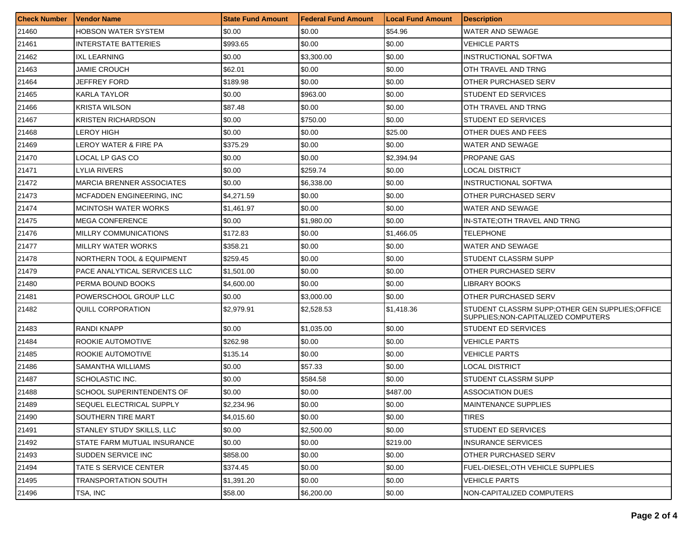| <b>Check Number</b> | <b>Vendor Name</b>               | <b>State Fund Amount</b> | <b>Federal Fund Amount</b> | <b>Local Fund Amount</b> | <b>Description</b>                                                                      |
|---------------------|----------------------------------|--------------------------|----------------------------|--------------------------|-----------------------------------------------------------------------------------------|
| 21460               | HOBSON WATER SYSTEM              | \$0.00                   | \$0.00                     | \$54.96                  | WATER AND SEWAGE                                                                        |
| 21461               | <b>INTERSTATE BATTERIES</b>      | \$993.65                 | \$0.00                     | \$0.00                   | VEHICLE PARTS                                                                           |
| 21462               | <b>IXL LEARNING</b>              | \$0.00                   | \$3,300.00                 | \$0.00                   | INSTRUCTIONAL SOFTWA                                                                    |
| 21463               | JAMIE CROUCH                     | \$62.01                  | \$0.00                     | \$0.00                   | OTH TRAVEL AND TRNG                                                                     |
| 21464               | JEFFREY FORD                     | \$189.98                 | \$0.00                     | \$0.00                   | OTHER PURCHASED SERV                                                                    |
| 21465               | KARLA TAYLOR                     | \$0.00                   | \$963.00                   | \$0.00                   | <b>STUDENT ED SERVICES</b>                                                              |
| 21466               | <b>KRISTA WILSON</b>             | \$87.48                  | \$0.00                     | \$0.00                   | OTH TRAVEL AND TRNG                                                                     |
| 21467               | <b>KRISTEN RICHARDSON</b>        | \$0.00                   | \$750.00                   | \$0.00                   | <b>STUDENT ED SERVICES</b>                                                              |
| 21468               | LEROY HIGH                       | \$0.00                   | \$0.00                     | \$25.00                  | OTHER DUES AND FEES                                                                     |
| 21469               | LEROY WATER & FIRE PA            | \$375.29                 | \$0.00                     | \$0.00                   | WATER AND SEWAGE                                                                        |
| 21470               | LOCAL LP GAS CO                  | \$0.00                   | \$0.00                     | \$2,394.94               | <b>PROPANE GAS</b>                                                                      |
| 21471               | LYLIA RIVERS                     | \$0.00                   | \$259.74                   | \$0.00                   | LOCAL DISTRICT                                                                          |
| 21472               | <b>MARCIA BRENNER ASSOCIATES</b> | \$0.00                   | \$6,338.00                 | \$0.00                   | INSTRUCTIONAL SOFTWA                                                                    |
| 21473               | <b>MCFADDEN ENGINEERING. INC</b> | \$4,271.59               | \$0.00                     | \$0.00                   | OTHER PURCHASED SERV                                                                    |
| 21474               | <b>MCINTOSH WATER WORKS</b>      | \$1,461.97               | \$0.00                     | \$0.00                   | <b>WATER AND SEWAGE</b>                                                                 |
| 21475               | <b>MEGA CONFERENCE</b>           | \$0.00                   | \$1.980.00                 | \$0.00                   | IN-STATE; OTH TRAVEL AND TRNG                                                           |
| 21476               | MILLRY COMMUNICATIONS            | \$172.83                 | \$0.00                     | \$1,466.05               | TELEPHONE                                                                               |
| 21477               | <b>MILLRY WATER WORKS</b>        | \$358.21                 | \$0.00                     | \$0.00                   | <b>WATER AND SEWAGE</b>                                                                 |
| 21478               | NORTHERN TOOL & EQUIPMENT        | \$259.45                 | \$0.00                     | \$0.00                   | STUDENT CLASSRM SUPP                                                                    |
| 21479               | PACE ANALYTICAL SERVICES LLC     | \$1,501.00               | \$0.00                     | \$0.00                   | OTHER PURCHASED SERV                                                                    |
| 21480               | PERMA BOUND BOOKS                | \$4,600.00               | $\$0.00$                   | \$0.00                   | <b>LIBRARY BOOKS</b>                                                                    |
| 21481               | POWERSCHOOL GROUP LLC            | \$0.00                   | \$3,000.00                 | \$0.00                   | OTHER PURCHASED SERV                                                                    |
| 21482               | QUILL CORPORATION                | \$2,979.91               | \$2,528.53                 | \$1,418.36               | STUDENT CLASSRM SUPP; OTHER GEN SUPPLIES; OFFICE<br>SUPPLIES; NON-CAPITALIZED COMPUTERS |
| 21483               | RANDI KNAPP                      | \$0.00                   | \$1,035.00                 | \$0.00                   | STUDENT ED SERVICES                                                                     |
| 21484               | ROOKIE AUTOMOTIVE                | \$262.98                 | \$0.00                     | \$0.00                   | VEHICLE PARTS                                                                           |
| 21485               | ROOKIE AUTOMOTIVE                | \$135.14                 | \$0.00                     | \$0.00                   | VEHICLE PARTS                                                                           |
| 21486               | SAMANTHA WILLIAMS                | \$0.00                   | \$57.33                    | \$0.00                   | LOCAL DISTRICT                                                                          |
| 21487               | SCHOLASTIC INC.                  | \$0.00                   | \$584.58                   | \$0.00                   | STUDENT CLASSRM SUPP                                                                    |
| 21488               | SCHOOL SUPERINTENDENTS OF        | \$0.00                   | \$0.00                     | \$487.00                 | <b>ASSOCIATION DUES</b>                                                                 |
| 21489               | SEQUEL ELECTRICAL SUPPLY         | \$2,234.96               | \$0.00                     | \$0.00                   | MAINTENANCE SUPPLIES                                                                    |
| 21490               | SOUTHERN TIRE MART               | \$4,015.60               | \$0.00                     | \$0.00                   | TIRES                                                                                   |
| 21491               | STANLEY STUDY SKILLS, LLC        | \$0.00                   | \$2,500.00                 | \$0.00                   | <b>STUDENT ED SERVICES</b>                                                              |
| 21492               | STATE FARM MUTUAL INSURANCE      | \$0.00                   | \$0.00                     | \$219.00                 | <b>INSURANCE SERVICES</b>                                                               |
| 21493               | SUDDEN SERVICE INC               | \$858.00                 | \$0.00                     | \$0.00                   | OTHER PURCHASED SERV                                                                    |
| 21494               | TATE S SERVICE CENTER            | \$374.45                 | \$0.00                     | \$0.00                   | FUEL-DIESEL: OTH VEHICLE SUPPLIES                                                       |
| 21495               | TRANSPORTATION SOUTH             | \$1,391.20               | \$0.00                     | \$0.00                   | <b>VEHICLE PARTS</b>                                                                    |
| 21496               | TSA, INC                         | \$58.00                  | \$6,200.00                 | \$0.00                   | NON-CAPITALIZED COMPUTERS                                                               |
|                     |                                  |                          |                            |                          |                                                                                         |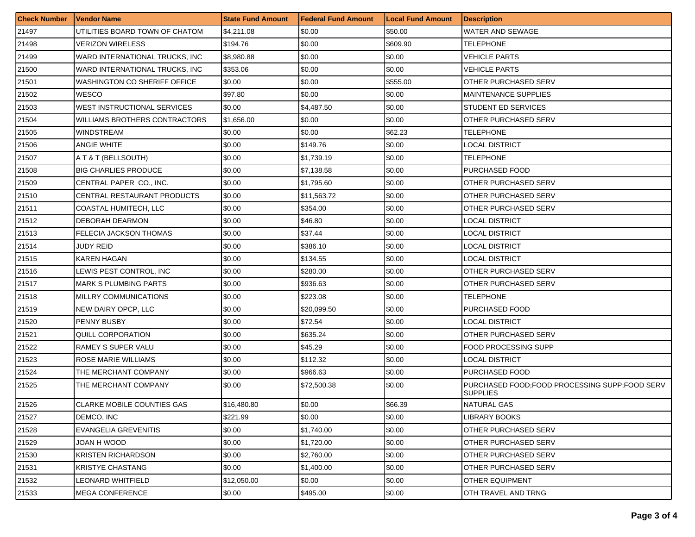| <b>Check Number</b> | <b>Vendor Name</b>              | <b>State Fund Amount</b> | <b>Federal Fund Amount</b> | <b>Local Fund Amount</b> | <b>Description</b>                                               |
|---------------------|---------------------------------|--------------------------|----------------------------|--------------------------|------------------------------------------------------------------|
| 21497               | UTILITIES BOARD TOWN OF CHATOM  | \$4,211.08               | \$0.00                     | \$50.00                  | WATER AND SEWAGE                                                 |
| 21498               | <b>VERIZON WIRELESS</b>         | \$194.76                 | \$0.00                     | \$609.90                 | TELEPHONE                                                        |
| 21499               | WARD INTERNATIONAL TRUCKS, INC  | \$8,980.88               | \$0.00                     | \$0.00                   | VEHICLE PARTS                                                    |
| 21500               | WARD INTERNATIONAL TRUCKS, INC. | \$353.06                 | \$0.00                     | \$0.00                   | VEHICLE PARTS                                                    |
| 21501               | WASHINGTON CO SHERIFF OFFICE    | \$0.00                   | \$0.00                     | \$555.00                 | OTHER PURCHASED SERV                                             |
| 21502               | <b>WESCO</b>                    | \$97.80                  | \$0.00                     | \$0.00                   | <b>MAINTENANCE SUPPLIES</b>                                      |
| 21503               | WEST INSTRUCTIONAL SERVICES     | \$0.00                   | \$4,487.50                 | \$0.00                   | STUDENT ED SERVICES                                              |
| 21504               | WILLIAMS BROTHERS CONTRACTORS   | \$1,656,00               | \$0.00                     | \$0.00                   | OTHER PURCHASED SERV                                             |
| 21505               | <b>WINDSTREAM</b>               | \$0.00                   | \$0.00                     | \$62.23                  | <b>TELEPHONE</b>                                                 |
| 21506               | ANGIE WHITE                     | \$0.00                   | \$149.76                   | \$0.00                   | LOCAL DISTRICT                                                   |
| 21507               | A T & T (BELLSOUTH)             | \$0.00                   | \$1,739.19                 | \$0.00                   | <b>TELEPHONE</b>                                                 |
| 21508               | <b>BIG CHARLIES PRODUCE</b>     | \$0.00                   | \$7,138.58                 | \$0.00                   | PURCHASED FOOD                                                   |
| 21509               | CENTRAL PAPER CO., INC.         | \$0.00                   | \$1,795.60                 | \$0.00                   | OTHER PURCHASED SERV                                             |
| 21510               | CENTRAL RESTAURANT PRODUCTS     | \$0.00                   | \$11,563.72                | \$0.00                   | OTHER PURCHASED SERV                                             |
| 21511               | <b>COASTAL HUMITECH. LLC</b>    | \$0.00                   | \$354.00                   | \$0.00                   | OTHER PURCHASED SERV                                             |
| 21512               | <b>DEBORAH DEARMON</b>          | \$0.00                   | \$46.80                    | \$0.00                   | <b>LOCAL DISTRICT</b>                                            |
| 21513               | FELECIA JACKSON THOMAS          | \$0.00                   | \$37.44                    | \$0.00                   | LOCAL DISTRICT                                                   |
| 21514               | JUDY REID                       | \$0.00                   | \$386.10                   | \$0.00                   | LOCAL DISTRICT                                                   |
| 21515               | <b>KAREN HAGAN</b>              | \$0.00                   | \$134.55                   | \$0.00                   | LOCAL DISTRICT                                                   |
| 21516               | LEWIS PEST CONTROL, INC         | \$0.00                   | \$280.00                   | \$0.00                   | OTHER PURCHASED SERV                                             |
| 21517               | <b>MARK S PLUMBING PARTS</b>    | \$0.00                   | \$936.63                   | \$0.00                   | <b>OTHER PURCHASED SERV</b>                                      |
| 21518               | MILLRY COMMUNICATIONS           | \$0.00                   | \$223.08                   | \$0.00                   | TELEPHONE                                                        |
| 21519               | NEW DAIRY OPCP, LLC             | \$0.00                   | \$20,099.50                | \$0.00                   | PURCHASED FOOD                                                   |
| 21520               | <b>PENNY BUSBY</b>              | \$0.00                   | \$72.54                    | \$0.00                   | LOCAL DISTRICT                                                   |
| 21521               | QUILL CORPORATION               | \$0.00                   | \$635.24                   | \$0.00                   | OTHER PURCHASED SERV                                             |
| 21522               | <b>RAMEY S SUPER VALU</b>       | \$0.00                   | \$45.29                    | \$0.00                   | FOOD PROCESSING SUPP                                             |
| 21523               | ROSE MARIE WILLIAMS             | \$0.00                   | \$112.32                   | \$0.00                   | LOCAL DISTRICT                                                   |
| 21524               | THE MERCHANT COMPANY            | \$0.00                   | \$966.63                   | \$0.00                   | PURCHASED FOOD                                                   |
| 21525               | THE MERCHANT COMPANY            | \$0.00                   | \$72,500.38                | \$0.00                   | PURCHASED FOOD:FOOD PROCESSING SUPP:FOOD SERV<br><b>SUPPLIES</b> |
| 21526               | CLARKE MOBILE COUNTIES GAS      | \$16,480.80              | \$0.00                     | \$66.39                  | <b>NATURAL GAS</b>                                               |
| 21527               | DEMCO, INC                      | \$221.99                 | \$0.00                     | \$0.00                   | LIBRARY BOOKS                                                    |
| 21528               | EVANGELIA GREVENITIS            | \$0.00                   | \$1.740.00                 | \$0.00                   | <b>OTHER PURCHASED SERV</b>                                      |
| 21529               | JOAN H WOOD                     | \$0.00                   | \$1,720.00                 | \$0.00                   | OTHER PURCHASED SERV                                             |
| 21530               | <b>KRISTEN RICHARDSON</b>       | \$0.00                   | \$2,760.00                 | \$0.00                   | OTHER PURCHASED SERV                                             |
| 21531               | <b>KRISTYE CHASTANG</b>         | \$0.00                   | \$1,400.00                 | \$0.00                   | OTHER PURCHASED SERV                                             |
| 21532               | LEONARD WHITFIELD               | \$12,050.00              | \$0.00                     | \$0.00                   | OTHER EQUIPMENT                                                  |
| 21533               | <b>MEGA CONFERENCE</b>          | \$0.00                   | \$495.00                   | \$0.00                   | OTH TRAVEL AND TRNG                                              |